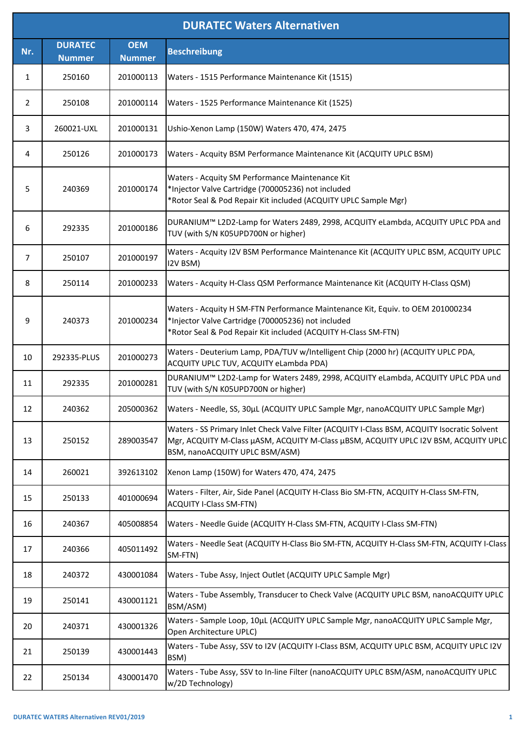|                | <b>DURATEC Waters Alternativen</b> |                             |                                                                                                                                                                                                                       |  |  |
|----------------|------------------------------------|-----------------------------|-----------------------------------------------------------------------------------------------------------------------------------------------------------------------------------------------------------------------|--|--|
| Nr.            | <b>DURATEC</b><br><b>Nummer</b>    | <b>OEM</b><br><b>Nummer</b> | <b>Beschreibung</b>                                                                                                                                                                                                   |  |  |
| 1              | 250160                             | 201000113                   | Waters - 1515 Performance Maintenance Kit (1515)                                                                                                                                                                      |  |  |
| $\overline{2}$ | 250108                             | 201000114                   | Waters - 1525 Performance Maintenance Kit (1525)                                                                                                                                                                      |  |  |
| 3              | 260021-UXL                         | 201000131                   | Ushio-Xenon Lamp (150W) Waters 470, 474, 2475                                                                                                                                                                         |  |  |
| 4              | 250126                             | 201000173                   | Waters - Acquity BSM Performance Maintenance Kit (ACQUITY UPLC BSM)                                                                                                                                                   |  |  |
| 5              | 240369                             | 201000174                   | Waters - Acquity SM Performance Maintenance Kit<br>*Injector Valve Cartridge (700005236) not included<br>*Rotor Seal & Pod Repair Kit included (ACQUITY UPLC Sample Mgr)                                              |  |  |
| 6              | 292335                             | 201000186                   | DURANIUM™ L2D2-Lamp for Waters 2489, 2998, ACQUITY eLambda, ACQUITY UPLC PDA and<br>TUV (with S/N K05UPD700N or higher)                                                                                               |  |  |
| 7              | 250107                             | 201000197                   | Waters - Acquity I2V BSM Performance Maintenance Kit (ACQUITY UPLC BSM, ACQUITY UPLC<br>I2V BSM)                                                                                                                      |  |  |
| 8              | 250114                             | 201000233                   | Waters - Acquity H-Class QSM Performance Maintenance Kit (ACQUITY H-Class QSM)                                                                                                                                        |  |  |
| 9              | 240373                             | 201000234                   | Waters - Acquity H SM-FTN Performance Maintenance Kit, Equiv. to OEM 201000234<br>*Injector Valve Cartridge (700005236) not included<br>*Rotor Seal & Pod Repair Kit included (ACQUITY H-Class SM-FTN)                |  |  |
| 10             | 292335-PLUS                        | 201000273                   | Waters - Deuterium Lamp, PDA/TUV w/Intelligent Chip (2000 hr) (ACQUITY UPLC PDA,<br>ACQUITY UPLC TUV, ACQUITY eLambda PDA)                                                                                            |  |  |
| 11             | 292335                             | 201000281                   | DURANIUM™ L2D2-Lamp for Waters 2489, 2998, ACQUITY eLambda, ACQUITY UPLC PDA und<br>TUV (with S/N K05UPD700N or higher)                                                                                               |  |  |
| 12             | 240362                             | 205000362                   | Waters - Needle, SS, 30µL (ACQUITY UPLC Sample Mgr, nanoACQUITY UPLC Sample Mgr)                                                                                                                                      |  |  |
| 13             | 250152                             | 289003547                   | Waters - SS Primary Inlet Check Valve Filter (ACQUITY I-Class BSM, ACQUITY Isocratic Solvent<br>Mgr, ACQUITY M-Class µASM, ACQUITY M-Class µBSM, ACQUITY UPLC I2V BSM, ACQUITY UPLC<br>BSM, nanoACQUITY UPLC BSM/ASM) |  |  |
| 14             | 260021                             | 392613102                   | Xenon Lamp (150W) for Waters 470, 474, 2475                                                                                                                                                                           |  |  |
| 15             | 250133                             | 401000694                   | Waters - Filter, Air, Side Panel (ACQUITY H-Class Bio SM-FTN, ACQUITY H-Class SM-FTN,<br><b>ACQUITY I-Class SM-FTN)</b>                                                                                               |  |  |
| 16             | 240367                             | 405008854                   | Waters - Needle Guide (ACQUITY H-Class SM-FTN, ACQUITY I-Class SM-FTN)                                                                                                                                                |  |  |
| 17             | 240366                             | 405011492                   | Waters - Needle Seat (ACQUITY H-Class Bio SM-FTN, ACQUITY H-Class SM-FTN, ACQUITY I-Class<br>SM-FTN)                                                                                                                  |  |  |
| 18             | 240372                             | 430001084                   | Waters - Tube Assy, Inject Outlet (ACQUITY UPLC Sample Mgr)                                                                                                                                                           |  |  |
| 19             | 250141                             | 430001121                   | Waters - Tube Assembly, Transducer to Check Valve (ACQUITY UPLC BSM, nanoACQUITY UPLC<br>BSM/ASM)                                                                                                                     |  |  |
| 20             | 240371                             | 430001326                   | Waters - Sample Loop, 10µL (ACQUITY UPLC Sample Mgr, nanoACQUITY UPLC Sample Mgr,<br>Open Architecture UPLC)                                                                                                          |  |  |
| 21             | 250139                             | 430001443                   | Waters - Tube Assy, SSV to I2V (ACQUITY I-Class BSM, ACQUITY UPLC BSM, ACQUITY UPLC I2V<br>BSM)                                                                                                                       |  |  |
| 22             | 250134                             | 430001470                   | Waters - Tube Assy, SSV to In-line Filter (nanoACQUITY UPLC BSM/ASM, nanoACQUITY UPLC<br>w/2D Technology)                                                                                                             |  |  |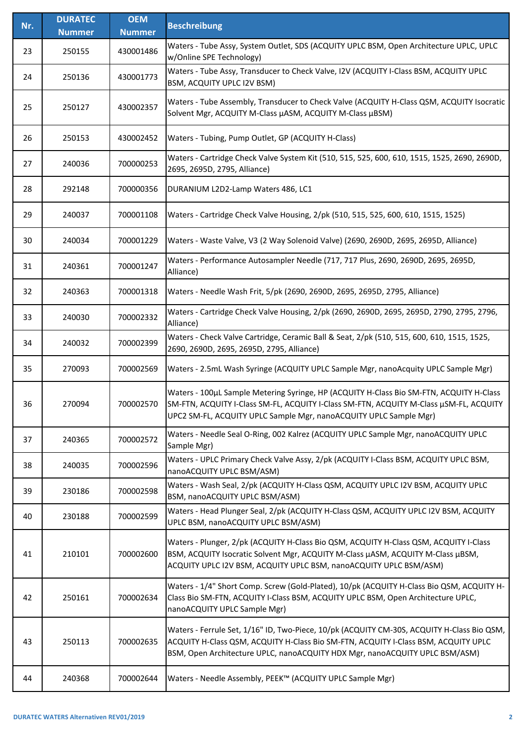| Nr. | <b>DURATEC</b> | <b>OEM</b>    | <b>Beschreibung</b>                                                                                                                                                                                                                                             |
|-----|----------------|---------------|-----------------------------------------------------------------------------------------------------------------------------------------------------------------------------------------------------------------------------------------------------------------|
|     | <b>Nummer</b>  | <b>Nummer</b> |                                                                                                                                                                                                                                                                 |
| 23  | 250155         | 430001486     | Waters - Tube Assy, System Outlet, SDS (ACQUITY UPLC BSM, Open Architecture UPLC, UPLC<br>w/Online SPE Technology)                                                                                                                                              |
| 24  | 250136         | 430001773     | Waters - Tube Assy, Transducer to Check Valve, I2V (ACQUITY I-Class BSM, ACQUITY UPLC<br>BSM, ACQUITY UPLC I2V BSM)                                                                                                                                             |
| 25  | 250127         | 430002357     | Waters - Tube Assembly, Transducer to Check Valve (ACQUITY H-Class QSM, ACQUITY Isocratic<br>Solvent Mgr, ACQUITY M-Class µASM, ACQUITY M-Class µBSM)                                                                                                           |
| 26  | 250153         | 430002452     | Waters - Tubing, Pump Outlet, GP (ACQUITY H-Class)                                                                                                                                                                                                              |
| 27  | 240036         | 700000253     | Waters - Cartridge Check Valve System Kit (510, 515, 525, 600, 610, 1515, 1525, 2690, 2690D,<br>2695, 2695D, 2795, Alliance)                                                                                                                                    |
| 28  | 292148         | 700000356     | DURANIUM L2D2-Lamp Waters 486, LC1                                                                                                                                                                                                                              |
| 29  | 240037         | 700001108     | Waters - Cartridge Check Valve Housing, 2/pk (510, 515, 525, 600, 610, 1515, 1525)                                                                                                                                                                              |
| 30  | 240034         | 700001229     | Waters - Waste Valve, V3 (2 Way Solenoid Valve) (2690, 2690D, 2695, 2695D, Alliance)                                                                                                                                                                            |
| 31  | 240361         | 700001247     | Waters - Performance Autosampler Needle (717, 717 Plus, 2690, 2690D, 2695, 2695D,<br>Alliance)                                                                                                                                                                  |
| 32  | 240363         | 700001318     | Waters - Needle Wash Frit, 5/pk (2690, 2690D, 2695, 2695D, 2795, Alliance)                                                                                                                                                                                      |
| 33  | 240030         | 700002332     | Waters - Cartridge Check Valve Housing, 2/pk (2690, 2690D, 2695, 2695D, 2790, 2795, 2796,<br>Alliance)                                                                                                                                                          |
| 34  | 240032         | 700002399     | Waters - Check Valve Cartridge, Ceramic Ball & Seat, 2/pk (510, 515, 600, 610, 1515, 1525,<br>2690, 2690D, 2695, 2695D, 2795, Alliance)                                                                                                                         |
| 35  | 270093         | 700002569     | Waters - 2.5mL Wash Syringe (ACQUITY UPLC Sample Mgr, nanoAcquity UPLC Sample Mgr)                                                                                                                                                                              |
| 36  | 270094         | 700002570     | Waters - 100µL Sample Metering Syringe, HP (ACQUITY H-Class Bio SM-FTN, ACQUITY H-Class<br>SM-FTN, ACQUITY I-Class SM-FL, ACQUITY I-Class SM-FTN, ACQUITY M-Class µSM-FL, ACQUITY<br>UPC2 SM-FL, ACQUITY UPLC Sample Mgr, nanoACQUITY UPLC Sample Mgr)          |
| 37  | 240365         | 700002572     | Waters - Needle Seal O-Ring, 002 Kalrez (ACQUITY UPLC Sample Mgr, nanoACQUITY UPLC<br>Sample Mgr)                                                                                                                                                               |
| 38  | 240035         | 700002596     | Waters - UPLC Primary Check Valve Assy, 2/pk (ACQUITY I-Class BSM, ACQUITY UPLC BSM,<br>nanoACQUITY UPLC BSM/ASM)                                                                                                                                               |
| 39  | 230186         | 700002598     | Waters - Wash Seal, 2/pk (ACQUITY H-Class QSM, ACQUITY UPLC I2V BSM, ACQUITY UPLC<br>BSM, nanoACQUITY UPLC BSM/ASM)                                                                                                                                             |
| 40  | 230188         | 700002599     | Waters - Head Plunger Seal, 2/pk (ACQUITY H-Class QSM, ACQUITY UPLC I2V BSM, ACQUITY<br>UPLC BSM, nanoACQUITY UPLC BSM/ASM)                                                                                                                                     |
| 41  | 210101         | 700002600     | Waters - Plunger, 2/pk (ACQUITY H-Class Bio QSM, ACQUITY H-Class QSM, ACQUITY I-Class<br>BSM, ACQUITY Isocratic Solvent Mgr, ACQUITY M-Class µASM, ACQUITY M-Class µBSM,<br>ACQUITY UPLC I2V BSM, ACQUITY UPLC BSM, nanoACQUITY UPLC BSM/ASM)                   |
| 42  | 250161         | 700002634     | Waters - 1/4" Short Comp. Screw (Gold-Plated), 10/pk (ACQUITY H-Class Bio QSM, ACQUITY H-<br>Class Bio SM-FTN, ACQUITY I-Class BSM, ACQUITY UPLC BSM, Open Architecture UPLC,<br>nanoACQUITY UPLC Sample Mgr)                                                   |
| 43  | 250113         | 700002635     | Waters - Ferrule Set, 1/16" ID, Two-Piece, 10/pk (ACQUITY CM-30S, ACQUITY H-Class Bio QSM,<br>ACQUITY H-Class QSM, ACQUITY H-Class Bio SM-FTN, ACQUITY I-Class BSM, ACQUITY UPLC<br>BSM, Open Architecture UPLC, nanoACQUITY HDX Mgr, nanoACQUITY UPLC BSM/ASM) |
| 44  | 240368         | 700002644     | Waters - Needle Assembly, PEEK™ (ACQUITY UPLC Sample Mgr)                                                                                                                                                                                                       |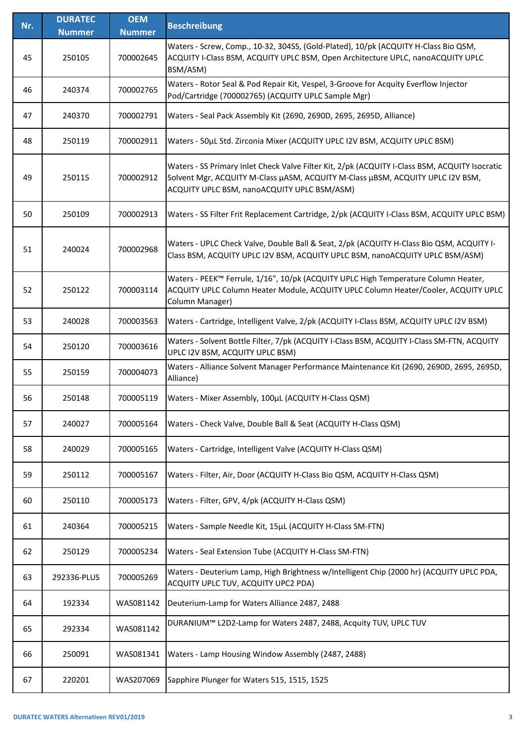| Nr. | <b>DURATEC</b> | <b>OEM</b>    | <b>Beschreibung</b>                                                                                                                                                                                                             |
|-----|----------------|---------------|---------------------------------------------------------------------------------------------------------------------------------------------------------------------------------------------------------------------------------|
|     | <b>Nummer</b>  | <b>Nummer</b> |                                                                                                                                                                                                                                 |
| 45  | 250105         | 700002645     | Waters - Screw, Comp., 10-32, 304SS, (Gold-Plated), 10/pk (ACQUITY H-Class Bio QSM,<br>ACQUITY I-Class BSM, ACQUITY UPLC BSM, Open Architecture UPLC, nanoACQUITY UPLC<br>BSM/ASM)                                              |
| 46  | 240374         | 700002765     | Waters - Rotor Seal & Pod Repair Kit, Vespel, 3-Groove for Acquity Everflow Injector<br>Pod/Cartridge (700002765) (ACQUITY UPLC Sample Mgr)                                                                                     |
| 47  | 240370         | 700002791     | Waters - Seal Pack Assembly Kit (2690, 2690D, 2695, 2695D, Alliance)                                                                                                                                                            |
| 48  | 250119         | 700002911     | Waters - 50µL Std. Zirconia Mixer (ACQUITY UPLC I2V BSM, ACQUITY UPLC BSM)                                                                                                                                                      |
| 49  | 250115         | 700002912     | Waters - SS Primary Inlet Check Valve Filter Kit, 2/pk (ACQUITY I-Class BSM, ACQUITY Isocratic<br>Solvent Mgr, ACQUITY M-Class µASM, ACQUITY M-Class µBSM, ACQUITY UPLC I2V BSM,<br>ACQUITY UPLC BSM, nanoACQUITY UPLC BSM/ASM) |
| 50  | 250109         | 700002913     | Waters - SS Filter Frit Replacement Cartridge, 2/pk (ACQUITY I-Class BSM, ACQUITY UPLC BSM)                                                                                                                                     |
| 51  | 240024         | 700002968     | Waters - UPLC Check Valve, Double Ball & Seat, 2/pk (ACQUITY H-Class Bio QSM, ACQUITY I-<br>Class BSM, ACQUITY UPLC I2V BSM, ACQUITY UPLC BSM, nanoACQUITY UPLC BSM/ASM)                                                        |
| 52  | 250122         | 700003114     | Waters - PEEK™ Ferrule, 1/16", 10/pk (ACQUITY UPLC High Temperature Column Heater,<br>ACQUITY UPLC Column Heater Module, ACQUITY UPLC Column Heater/Cooler, ACQUITY UPLC<br>Column Manager)                                     |
| 53  | 240028         | 700003563     | Waters - Cartridge, Intelligent Valve, 2/pk (ACQUITY I-Class BSM, ACQUITY UPLC I2V BSM)                                                                                                                                         |
| 54  | 250120         | 700003616     | Waters - Solvent Bottle Filter, 7/pk (ACQUITY I-Class BSM, ACQUITY I-Class SM-FTN, ACQUITY<br>UPLC I2V BSM, ACQUITY UPLC BSM)                                                                                                   |
| 55  | 250159         | 700004073     | Waters - Alliance Solvent Manager Performance Maintenance Kit (2690, 2690D, 2695, 2695D,<br>Alliance)                                                                                                                           |
| 56  | 250148         | 700005119     | Waters - Mixer Assembly, 100µL (ACQUITY H-Class QSM)                                                                                                                                                                            |
| 57  | 240027         | 700005164     | Waters - Check Valve, Double Ball & Seat (ACQUITY H-Class QSM)                                                                                                                                                                  |
| 58  | 240029         | 700005165     | Waters - Cartridge, Intelligent Valve (ACQUITY H-Class QSM)                                                                                                                                                                     |
| 59  | 250112         | 700005167     | Waters - Filter, Air, Door (ACQUITY H-Class Bio QSM, ACQUITY H-Class QSM)                                                                                                                                                       |
| 60  | 250110         | 700005173     | Waters - Filter, GPV, 4/pk (ACQUITY H-Class QSM)                                                                                                                                                                                |
| 61  | 240364         | 700005215     | Waters - Sample Needle Kit, 15µL (ACQUITY H-Class SM-FTN)                                                                                                                                                                       |
| 62  | 250129         | 700005234     | Waters - Seal Extension Tube (ACQUITY H-Class SM-FTN)                                                                                                                                                                           |
| 63  | 292336-PLUS    | 700005269     | Waters - Deuterium Lamp, High Brightness w/Intelligent Chip (2000 hr) (ACQUITY UPLC PDA,<br>ACQUITY UPLC TUV, ACQUITY UPC2 PDA)                                                                                                 |
| 64  | 192334         | WAS081142     | Deuterium-Lamp for Waters Alliance 2487, 2488                                                                                                                                                                                   |
| 65  | 292334         | WAS081142     | DURANIUM™ L2D2-Lamp for Waters 2487, 2488, Acquity TUV, UPLC TUV                                                                                                                                                                |
| 66  | 250091         | WAS081341     | Waters - Lamp Housing Window Assembly (2487, 2488)                                                                                                                                                                              |
| 67  | 220201         | WAS207069     | Sapphire Plunger for Waters 515, 1515, 1525                                                                                                                                                                                     |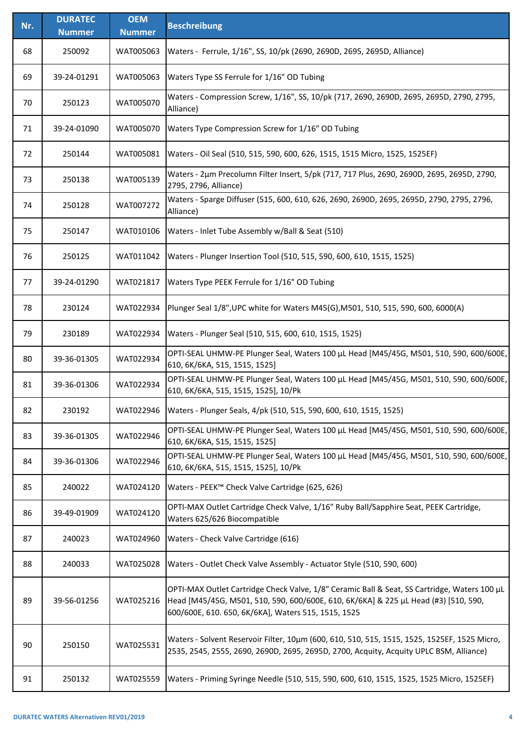| Nr. | <b>DURATEC</b> | <b>OEM</b>    | <b>Beschreibung</b>                                                                                                                                                                                                                        |
|-----|----------------|---------------|--------------------------------------------------------------------------------------------------------------------------------------------------------------------------------------------------------------------------------------------|
|     | <b>Nummer</b>  | <b>Nummer</b> |                                                                                                                                                                                                                                            |
| 68  | 250092         | WAT005063     | Waters - Ferrule, 1/16", SS, 10/pk (2690, 2690D, 2695, 2695D, Alliance)                                                                                                                                                                    |
| 69  | 39-24-01291    | WAT005063     | Waters Type SS Ferrule for 1/16" OD Tubing                                                                                                                                                                                                 |
| 70  | 250123         | WAT005070     | Waters - Compression Screw, 1/16", SS, 10/pk (717, 2690, 2690D, 2695, 2695D, 2790, 2795,<br>Alliance)                                                                                                                                      |
| 71  | 39-24-01090    | WAT005070     | Waters Type Compression Screw for 1/16" OD Tubing                                                                                                                                                                                          |
| 72  | 250144         | WAT005081     | Waters - Oil Seal (510, 515, 590, 600, 626, 1515, 1515 Micro, 1525, 1525EF)                                                                                                                                                                |
| 73  | 250138         | WAT005139     | Waters - 2µm Precolumn Filter Insert, 5/pk (717, 717 Plus, 2690, 2690D, 2695, 2695D, 2790,<br>2795, 2796, Alliance)                                                                                                                        |
| 74  | 250128         | WAT007272     | Waters - Sparge Diffuser (515, 600, 610, 626, 2690, 2690D, 2695, 2695D, 2790, 2795, 2796,<br>Alliance)                                                                                                                                     |
| 75  | 250147         | WAT010106     | Waters - Inlet Tube Assembly w/Ball & Seat (510)                                                                                                                                                                                           |
| 76  | 250125         | WAT011042     | Waters - Plunger Insertion Tool (510, 515, 590, 600, 610, 1515, 1525)                                                                                                                                                                      |
| 77  | 39-24-01290    | WAT021817     | Waters Type PEEK Ferrule for 1/16" OD Tubing                                                                                                                                                                                               |
| 78  | 230124         | WAT022934     | Plunger Seal 1/8", UPC white for Waters M45(G), M501, 510, 515, 590, 600, 6000(A)                                                                                                                                                          |
| 79  | 230189         | WAT022934     | Waters - Plunger Seal (510, 515, 600, 610, 1515, 1525)                                                                                                                                                                                     |
| 80  | 39-36-01305    | WAT022934     | OPTI-SEAL UHMW-PE Plunger Seal, Waters 100 µL Head [M45/45G, M501, 510, 590, 600/600E,<br>610, 6K/6KA, 515, 1515, 1525]                                                                                                                    |
| 81  | 39-36-01306    | WAT022934     | OPTI-SEAL UHMW-PE Plunger Seal, Waters 100 µL Head [M45/45G, M501, 510, 590, 600/600E,<br>610, 6K/6KA, 515, 1515, 1525], 10/Pk                                                                                                             |
| 82  | 230192         | WAT022946     | Waters - Plunger Seals, 4/pk (510, 515, 590, 600, 610, 1515, 1525)                                                                                                                                                                         |
| 83  | 39-36-01305    | WAT022946     | OPTI-SEAL UHMW-PE Plunger Seal, Waters 100 µL Head [M45/45G, M501, 510, 590, 600/600E,<br>610, 6K/6KA, 515, 1515, 1525]                                                                                                                    |
| 84  | 39-36-01306    | WAT022946     | OPTI-SEAL UHMW-PE Plunger Seal, Waters 100 µL Head [M45/45G, M501, 510, 590, 600/600E,<br>610, 6K/6KA, 515, 1515, 1525], 10/Pk                                                                                                             |
| 85  | 240022         | WAT024120     | Waters - PEEK™ Check Valve Cartridge (625, 626)                                                                                                                                                                                            |
| 86  | 39-49-01909    | WAT024120     | OPTI-MAX Outlet Cartridge Check Valve, 1/16" Ruby Ball/Sapphire Seat, PEEK Cartridge,<br>Waters 625/626 Biocompatible                                                                                                                      |
| 87  | 240023         | WAT024960     | Waters - Check Valve Cartridge (616)                                                                                                                                                                                                       |
| 88  | 240033         | WAT025028     | Waters - Outlet Check Valve Assembly - Actuator Style (510, 590, 600)                                                                                                                                                                      |
| 89  | 39-56-01256    | WAT025216     | OPTI-MAX Outlet Cartridge Check Valve, 1/8" Ceramic Ball & Seat, SS Cartridge, Waters 100 µL<br>Head [M45/45G, M501, 510, 590, 600/600E, 610, 6K/6KA] & 225 µL Head (#3) [510, 590,<br>600/600E, 610. 650, 6K/6KA], Waters 515, 1515, 1525 |
| 90  | 250150         | WAT025531     | Waters - Solvent Reservoir Filter, 10um (600, 610, 510, 515, 1515, 1525, 1525EF, 1525 Micro,<br>2535, 2545, 2555, 2690, 2690D, 2695, 2695D, 2700, Acquity, Acquity UPLC BSM, Alliance)                                                     |
| 91  | 250132         | WAT025559     | Waters - Priming Syringe Needle (510, 515, 590, 600, 610, 1515, 1525, 1525 Micro, 1525EF)                                                                                                                                                  |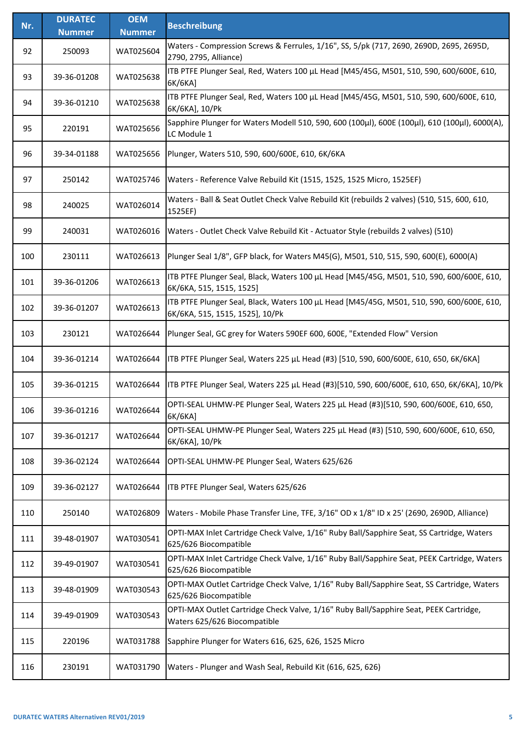| Nr. | <b>DURATEC</b> | <b>OEM</b>    | <b>Beschreibung</b>                                                                                                          |
|-----|----------------|---------------|------------------------------------------------------------------------------------------------------------------------------|
|     | <b>Nummer</b>  | <b>Nummer</b> |                                                                                                                              |
| 92  | 250093         | WAT025604     | Waters - Compression Screws & Ferrules, 1/16", SS, 5/pk (717, 2690, 2690D, 2695, 2695D,<br>2790, 2795, Alliance)             |
| 93  | 39-36-01208    | WAT025638     | ITB PTFE Plunger Seal, Red, Waters 100 µL Head [M45/45G, M501, 510, 590, 600/600E, 610,<br>6K/6KA]                           |
| 94  | 39-36-01210    | WAT025638     | ITB PTFE Plunger Seal, Red, Waters 100 µL Head [M45/45G, M501, 510, 590, 600/600E, 610,<br>6K/6KA], 10/Pk                    |
| 95  | 220191         | WAT025656     | Sapphire Plunger for Waters Modell 510, 590, 600 (100µl), 600E (100µl), 610 (100µl), 6000(A),<br>LC Module 1                 |
| 96  | 39-34-01188    | WAT025656     | Plunger, Waters 510, 590, 600/600E, 610, 6K/6KA                                                                              |
| 97  | 250142         | WAT025746     | Waters - Reference Valve Rebuild Kit (1515, 1525, 1525 Micro, 1525EF)                                                        |
| 98  | 240025         | WAT026014     | Waters - Ball & Seat Outlet Check Valve Rebuild Kit (rebuilds 2 valves) (510, 515, 600, 610,<br>1525EF)                      |
| 99  | 240031         | WAT026016     | Waters - Outlet Check Valve Rebuild Kit - Actuator Style (rebuilds 2 valves) (510)                                           |
| 100 | 230111         | WAT026613     | Plunger Seal 1/8", GFP black, for Waters M45(G), M501, 510, 515, 590, 600(E), 6000(A)                                        |
| 101 | 39-36-01206    | WAT026613     | ITB PTFE Plunger Seal, Black, Waters 100 µL Head [M45/45G, M501, 510, 590, 600/600E, 610,<br>6K/6KA, 515, 1515, 1525]        |
| 102 | 39-36-01207    | WAT026613     | ITB PTFE Plunger Seal, Black, Waters 100 µL Head [M45/45G, M501, 510, 590, 600/600E, 610,<br>6K/6KA, 515, 1515, 1525], 10/Pk |
| 103 | 230121         | WAT026644     | Plunger Seal, GC grey for Waters 590EF 600, 600E, "Extended Flow" Version                                                    |
| 104 | 39-36-01214    | WAT026644     | ITB PTFE Plunger Seal, Waters 225 µL Head (#3) [510, 590, 600/600E, 610, 650, 6K/6KA]                                        |
| 105 | 39-36-01215    | WAT026644     | ITB PTFE Plunger Seal, Waters 225 µL Head (#3)[510, 590, 600/600E, 610, 650, 6K/6KA], 10/Pk                                  |
| 106 | 39-36-01216    | WAT026644     | OPTI-SEAL UHMW-PE Plunger Seal, Waters 225 µL Head (#3)[510, 590, 600/600E, 610, 650,<br>6K/6KA]                             |
| 107 | 39-36-01217    | WAT026644     | OPTI-SEAL UHMW-PE Plunger Seal, Waters 225 µL Head (#3) [510, 590, 600/600E, 610, 650,<br>6K/6KA], 10/Pk                     |
| 108 | 39-36-02124    | WAT026644     | OPTI-SEAL UHMW-PE Plunger Seal, Waters 625/626                                                                               |
| 109 | 39-36-02127    | WAT026644     | ITB PTFE Plunger Seal, Waters 625/626                                                                                        |
| 110 | 250140         | WAT026809     | Waters - Mobile Phase Transfer Line, TFE, 3/16" OD x 1/8" ID x 25' (2690, 2690D, Alliance)                                   |
| 111 | 39-48-01907    | WAT030541     | OPTI-MAX Inlet Cartridge Check Valve, 1/16" Ruby Ball/Sapphire Seat, SS Cartridge, Waters<br>625/626 Biocompatible           |
| 112 | 39-49-01907    | WAT030541     | OPTI-MAX Inlet Cartridge Check Valve, 1/16" Ruby Ball/Sapphire Seat, PEEK Cartridge, Waters<br>625/626 Biocompatible         |
| 113 | 39-48-01909    | WAT030543     | OPTI-MAX Outlet Cartridge Check Valve, 1/16" Ruby Ball/Sapphire Seat, SS Cartridge, Waters<br>625/626 Biocompatible          |
| 114 | 39-49-01909    | WAT030543     | OPTI-MAX Outlet Cartridge Check Valve, 1/16" Ruby Ball/Sapphire Seat, PEEK Cartridge,<br>Waters 625/626 Biocompatible        |
| 115 | 220196         | WAT031788     | Sapphire Plunger for Waters 616, 625, 626, 1525 Micro                                                                        |
| 116 | 230191         | WAT031790     | Waters - Plunger and Wash Seal, Rebuild Kit (616, 625, 626)                                                                  |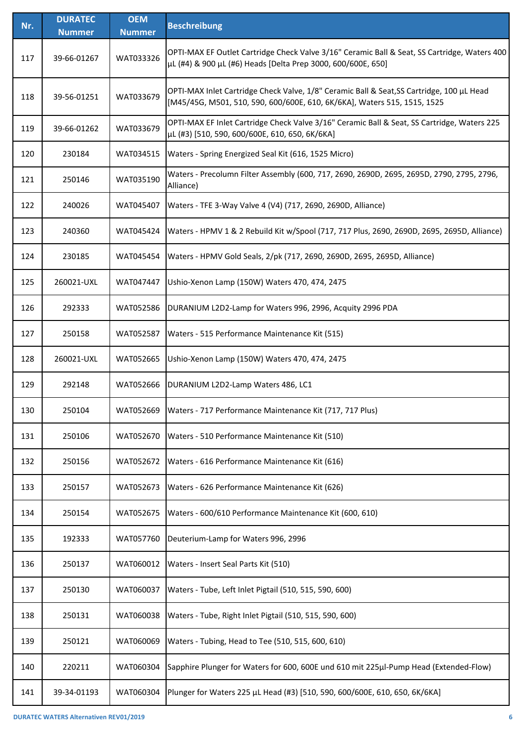| Nr. | <b>DURATEC</b><br><b>Nummer</b> | <b>OEM</b><br><b>Nummer</b> | <b>Beschreibung</b>                                                                                                                                                   |
|-----|---------------------------------|-----------------------------|-----------------------------------------------------------------------------------------------------------------------------------------------------------------------|
| 117 | 39-66-01267                     | WAT033326                   | OPTI-MAX EF Outlet Cartridge Check Valve 3/16" Ceramic Ball & Seat, SS Cartridge, Waters 400<br>μL (#4) & 900 μL (#6) Heads [Delta Prep 3000, 600/600E, 650]          |
| 118 | 39-56-01251                     | WAT033679                   | OPTI-MAX Inlet Cartridge Check Valve, 1/8" Ceramic Ball & Seat, SS Cartridge, 100 µL Head<br>[M45/45G, M501, 510, 590, 600/600E, 610, 6K/6KA], Waters 515, 1515, 1525 |
| 119 | 39-66-01262                     | WAT033679                   | OPTI-MAX EF Inlet Cartridge Check Valve 3/16" Ceramic Ball & Seat, SS Cartridge, Waters 225<br>µL (#3) [510, 590, 600/600E, 610, 650, 6K/6KA]                         |
| 120 | 230184                          | WAT034515                   | Waters - Spring Energized Seal Kit (616, 1525 Micro)                                                                                                                  |
| 121 | 250146                          | WAT035190                   | Waters - Precolumn Filter Assembly (600, 717, 2690, 2690D, 2695, 2695D, 2790, 2795, 2796,<br>Alliance)                                                                |
| 122 | 240026                          | WAT045407                   | Waters - TFE 3-Way Valve 4 (V4) (717, 2690, 2690D, Alliance)                                                                                                          |
| 123 | 240360                          | WAT045424                   | Waters - HPMV 1 & 2 Rebuild Kit w/Spool (717, 717 Plus, 2690, 2690D, 2695, 2695D, Alliance)                                                                           |
| 124 | 230185                          | WAT045454                   | Waters - HPMV Gold Seals, 2/pk (717, 2690, 2690D, 2695, 2695D, Alliance)                                                                                              |
| 125 | 260021-UXL                      | WAT047447                   | Ushio-Xenon Lamp (150W) Waters 470, 474, 2475                                                                                                                         |
| 126 | 292333                          | WAT052586                   | DURANIUM L2D2-Lamp for Waters 996, 2996, Acquity 2996 PDA                                                                                                             |
| 127 | 250158                          | WAT052587                   | Waters - 515 Performance Maintenance Kit (515)                                                                                                                        |
| 128 | 260021-UXL                      | WAT052665                   | Ushio-Xenon Lamp (150W) Waters 470, 474, 2475                                                                                                                         |
| 129 | 292148                          | WAT052666                   | DURANIUM L2D2-Lamp Waters 486, LC1                                                                                                                                    |
| 130 | 250104                          | WAT052669                   | Waters - 717 Performance Maintenance Kit (717, 717 Plus)                                                                                                              |
| 131 | 250106                          | WAT052670                   | Waters - 510 Performance Maintenance Kit (510)                                                                                                                        |
| 132 | 250156                          | WAT052672                   | Waters - 616 Performance Maintenance Kit (616)                                                                                                                        |
| 133 | 250157                          | WAT052673                   | Waters - 626 Performance Maintenance Kit (626)                                                                                                                        |
| 134 | 250154                          | WAT052675                   | Waters - 600/610 Performance Maintenance Kit (600, 610)                                                                                                               |
| 135 | 192333                          | WAT057760                   | Deuterium-Lamp for Waters 996, 2996                                                                                                                                   |
| 136 | 250137                          | WAT060012                   | Waters - Insert Seal Parts Kit (510)                                                                                                                                  |
| 137 | 250130                          | WAT060037                   | Waters - Tube, Left Inlet Pigtail (510, 515, 590, 600)                                                                                                                |
| 138 | 250131                          | WAT060038                   | Waters - Tube, Right Inlet Pigtail (510, 515, 590, 600)                                                                                                               |
| 139 | 250121                          | WAT060069                   | Waters - Tubing, Head to Tee (510, 515, 600, 610)                                                                                                                     |
| 140 | 220211                          | WAT060304                   | Sapphire Plunger for Waters for 600, 600E und 610 mit 225µl-Pump Head (Extended-Flow)                                                                                 |
| 141 | 39-34-01193                     | WAT060304                   | Plunger for Waters 225 µL Head (#3) [510, 590, 600/600E, 610, 650, 6K/6KA]                                                                                            |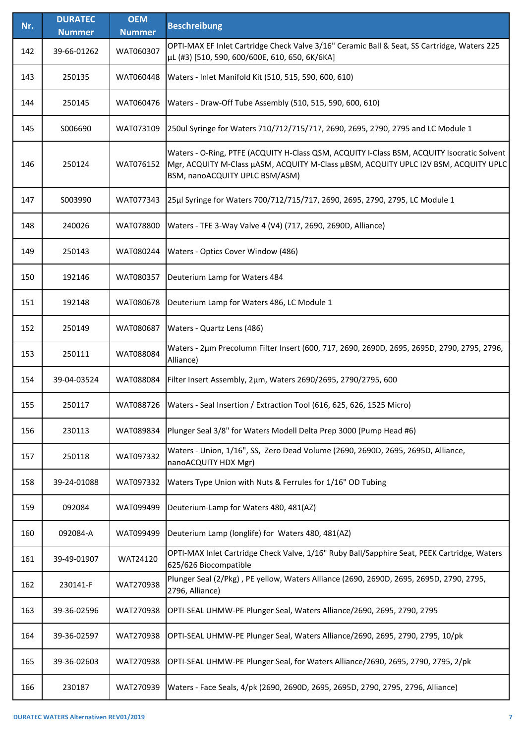| Nr. | <b>DURATEC</b> | <b>OEM</b>    | <b>Beschreibung</b>                                                                                                                                                                                                 |
|-----|----------------|---------------|---------------------------------------------------------------------------------------------------------------------------------------------------------------------------------------------------------------------|
|     | <b>Nummer</b>  | <b>Nummer</b> |                                                                                                                                                                                                                     |
| 142 | 39-66-01262    | WAT060307     | OPTI-MAX EF Inlet Cartridge Check Valve 3/16" Ceramic Ball & Seat, SS Cartridge, Waters 225<br>µL (#3) [510, 590, 600/600E, 610, 650, 6K/6KA]                                                                       |
| 143 | 250135         | WAT060448     | Waters - Inlet Manifold Kit (510, 515, 590, 600, 610)                                                                                                                                                               |
| 144 | 250145         | WAT060476     | Waters - Draw-Off Tube Assembly (510, 515, 590, 600, 610)                                                                                                                                                           |
| 145 | S006690        | WAT073109     | 250ul Syringe for Waters 710/712/715/717, 2690, 2695, 2790, 2795 and LC Module 1                                                                                                                                    |
| 146 | 250124         | WAT076152     | Waters - O-Ring, PTFE (ACQUITY H-Class QSM, ACQUITY I-Class BSM, ACQUITY Isocratic Solvent<br>Mgr, ACQUITY M-Class µASM, ACQUITY M-Class µBSM, ACQUITY UPLC I2V BSM, ACQUITY UPLC<br>BSM, nanoACQUITY UPLC BSM/ASM) |
| 147 | S003990        | WAT077343     | 25µl Syringe for Waters 700/712/715/717, 2690, 2695, 2790, 2795, LC Module 1                                                                                                                                        |
| 148 | 240026         | WAT078800     | Waters - TFE 3-Way Valve 4 (V4) (717, 2690, 2690D, Alliance)                                                                                                                                                        |
| 149 | 250143         | WAT080244     | Waters - Optics Cover Window (486)                                                                                                                                                                                  |
| 150 | 192146         | WAT080357     | Deuterium Lamp for Waters 484                                                                                                                                                                                       |
| 151 | 192148         | WAT080678     | Deuterium Lamp for Waters 486, LC Module 1                                                                                                                                                                          |
| 152 | 250149         | WAT080687     | Waters - Quartz Lens (486)                                                                                                                                                                                          |
| 153 | 250111         | WAT088084     | Waters - 2µm Precolumn Filter Insert (600, 717, 2690, 2690D, 2695, 2695D, 2790, 2795, 2796,<br>Alliance)                                                                                                            |
| 154 | 39-04-03524    | WAT088084     | Filter Insert Assembly, 2um, Waters 2690/2695, 2790/2795, 600                                                                                                                                                       |
| 155 | 250117         | WAT088726     | Waters - Seal Insertion / Extraction Tool (616, 625, 626, 1525 Micro)                                                                                                                                               |
| 156 | 230113         | WAT089834     | Plunger Seal 3/8" for Waters Modell Delta Prep 3000 (Pump Head #6)                                                                                                                                                  |
| 157 | 250118         | WAT097332     | Waters - Union, 1/16", SS, Zero Dead Volume (2690, 2690D, 2695, 2695D, Alliance,<br>nanoACQUITY HDX Mgr)                                                                                                            |
| 158 | 39-24-01088    | WAT097332     | Waters Type Union with Nuts & Ferrules for 1/16" OD Tubing                                                                                                                                                          |
| 159 | 092084         | WAT099499     | Deuterium-Lamp for Waters 480, 481(AZ)                                                                                                                                                                              |
| 160 | 092084-A       | WAT099499     | Deuterium Lamp (longlife) for Waters 480, 481(AZ)                                                                                                                                                                   |
| 161 | 39-49-01907    | WAT24120      | OPTI-MAX Inlet Cartridge Check Valve, 1/16" Ruby Ball/Sapphire Seat, PEEK Cartridge, Waters<br>625/626 Biocompatible                                                                                                |
| 162 | 230141-F       | WAT270938     | Plunger Seal (2/Pkg), PE yellow, Waters Alliance (2690, 2690D, 2695, 2695D, 2790, 2795,<br>2796, Alliance)                                                                                                          |
| 163 | 39-36-02596    | WAT270938     | OPTI-SEAL UHMW-PE Plunger Seal, Waters Alliance/2690, 2695, 2790, 2795                                                                                                                                              |
| 164 | 39-36-02597    | WAT270938     | OPTI-SEAL UHMW-PE Plunger Seal, Waters Alliance/2690, 2695, 2790, 2795, 10/pk                                                                                                                                       |
| 165 | 39-36-02603    | WAT270938     | OPTI-SEAL UHMW-PE Plunger Seal, for Waters Alliance/2690, 2695, 2790, 2795, 2/pk                                                                                                                                    |
| 166 | 230187         | WAT270939     | Waters - Face Seals, 4/pk (2690, 2690D, 2695, 2695D, 2790, 2795, 2796, Alliance)                                                                                                                                    |